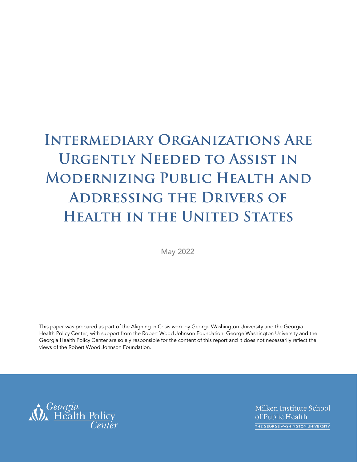# **Intermediary Organizations Are Urgently Needed to Assist in Modernizing Public Health and Addressing the Drivers of Health in the United States**

May 2022

This paper was prepared as part of the Aligning in Crisis work by George Washington University and the Georgia Health Policy Center, with support from the Robert Wood Johnson Foundation. George Washington University and the Georgia Health Policy Center are solely responsible for the content of this report and it does not necessarily reflect the views of the Robert Wood Johnson Foundation.

Ceorgia<br>
Health Policy<br>
Center

Milken Institute School of Public Health THE GEORGE WASHINGTON UNIVERSITY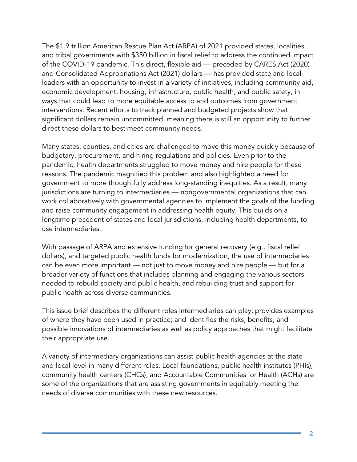The \$1.9 trillion American Rescue Plan Act (ARPA) of 2021 provided states, localities, and tribal governments with \$350 billion in fiscal relief to address the continued impact of the COVID-19 pandemic. This direct, flexible aid — preceded by CARES Act (2020) and Consolidated Appropriations Act (2021) dollars — has provided state and local leaders with an opportunity to invest in a variety of initiatives, including community aid, economic development, housing, infrastructure, public health, and public safety, in ways that could lead to more equitable access to and outcomes from government interventions. Recent efforts to track planned and budgeted projects show that significant dollars remain uncommitted, meaning there is still an opportunity to further direct these dollars to best meet community needs.

Many states, counties, and cities are challenged to move this money quickly because of budgetary, procurement, and hiring regulations and policies. Even prior to the pandemic, health departments struggled to move money and hire people for these reasons. The pandemic magnified this problem and also highlighted a need for government to more thoughtfully address long-standing inequities. As a result, many jurisdictions are turning to intermediaries — nongovernmental organizations that can work collaboratively with governmental agencies to implement the goals of the funding and raise community engagement in addressing health equity. This builds on a longtime precedent of states and local jurisdictions, including health departments, to use intermediaries.

With passage of ARPA and extensive funding for general recovery (e.g., fiscal relief dollars), and targeted public health funds for modernization, the use of intermediaries can be even more important — not just to move money and hire people — but for a broader variety of functions that includes planning and engaging the various sectors needed to rebuild society and public health, and rebuilding trust and support for public health across diverse communities.

This issue brief describes the different roles intermediaries can play; provides examples of where they have been used in practice; and identifies the risks, benefits, and possible innovations of intermediaries as well as policy approaches that might facilitate their appropriate use.

A variety of intermediary organizations can assist public health agencies at the state and local level in many different roles. Local foundations, public health institutes (PHIs), community health centers (CHCs), and Accountable Communities for Health (ACHs) are some of the organizations that are assisting governments in equitably meeting the needs of diverse communities with these new resources.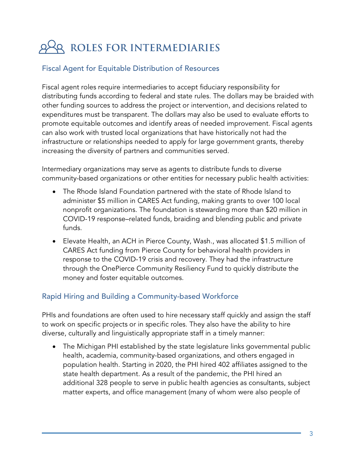## **ROLES FOR INTERMEDIARIES**

#### Fiscal Agent for Equitable Distribution of Resources

Fiscal agent roles require intermediaries to accept fiduciary responsibility for distributing funds according to federal and state rules. The dollars may be braided with other funding sources to address the project or intervention, and decisions related to expenditures must be transparent. The dollars may also be used to evaluate efforts to promote equitable outcomes and identify areas of needed improvement. Fiscal agents can also work with trusted local organizations that have historically not had the infrastructure or relationships needed to apply for large government grants, thereby increasing the diversity of partners and communities served.

Intermediary organizations may serve as agents to distribute funds to diverse community-based organizations or other entities for necessary public health activities:

- The Rhode Island Foundation partnered with the state of Rhode Island to administer \$5 million in CARES Act funding, making grants to over 100 local nonprofit organizations. The foundation is stewarding more than \$20 million in COVID-19 response–related funds, braiding and blending public and private funds.
- Elevate Health, an ACH in Pierce County, Wash., was allocated \$1.5 million of CARES Act funding from Pierce County for behavioral health providers in response to the COVID-19 crisis and recovery. They had the infrastructure through the OnePierce Community Resiliency Fund to quickly distribute the money and foster equitable outcomes.

#### Rapid Hiring and Building a Community-based Workforce

PHIs and foundations are often used to hire necessary staff quickly and assign the staff to work on specific projects or in specific roles. They also have the ability to hire diverse, culturally and linguistically appropriate staff in a timely manner:

• The Michigan PHI established by the state legislature links governmental public health, academia, community-based organizations, and others engaged in population health. Starting in 2020, the PHI hired 402 affiliates assigned to the state health department. As a result of the pandemic, the PHI hired an additional 328 people to serve in public health agencies as consultants, subject matter experts, and office management (many of whom were also people of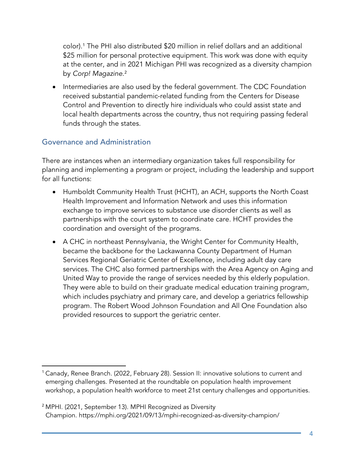color). [1](#page-3-0) The PHI also distributed \$20 million in relief dollars and an additional \$25 million for personal protective equipment. This work was done with equity at the center, and in 2021 Michigan PHI was recognized as a diversity champion by *Corp! Magazine*. [2](#page-3-1)

• Intermediaries are also used by the federal government. The CDC Foundation received substantial pandemic-related funding from the Centers for Disease Control and Prevention to directly hire individuals who could assist state and local health departments across the country, thus not requiring passing federal funds through the states.

#### Governance and Administration

There are instances when an intermediary organization takes full responsibility for planning and implementing a program or project, including the leadership and support for all functions:

- Humboldt Community Health Trust (HCHT), an ACH, supports the North Coast Health Improvement and Information Network and uses this information exchange to improve services to substance use disorder clients as well as partnerships with the court system to coordinate care. HCHT provides the coordination and oversight of the programs.
- A CHC in northeast Pennsylvania, the Wright Center for Community Health, became the backbone for the Lackawanna County Department of Human Services Regional Geriatric Center of Excellence, including adult day care services. The CHC also formed partnerships with the Area Agency on Aging and United Way to provide the range of services needed by this elderly population. They were able to build on their graduate medical education training program, which includes psychiatry and primary care, and develop a geriatrics fellowship program. The Robert Wood Johnson Foundation and All One Foundation also provided resources to support the geriatric center.

<span id="page-3-0"></span><sup>&</sup>lt;sup>1</sup> Canady, Renee Branch. (2022, February 28). Session II: innovative solutions to current and emerging challenges. Presented at the roundtable on population health improvement workshop, a population health workforce to meet 21st century challenges and opportunities.

<span id="page-3-1"></span><sup>2</sup> MPHI. (2021, September 13). MPHI Recognized as Diversity Champion. https://mphi.org/2021/09/13/mphi-recognized-as-diversity-champion/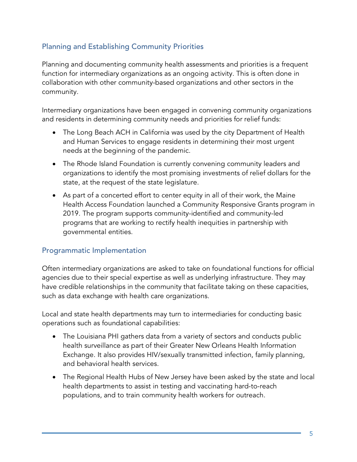#### Planning and Establishing Community Priorities

Planning and documenting community health assessments and priorities is a frequent function for intermediary organizations as an ongoing activity. This is often done in collaboration with other community-based organizations and other sectors in the community.

Intermediary organizations have been engaged in convening community organizations and residents in determining community needs and priorities for relief funds:

- The Long Beach ACH in California was used by the city Department of Health and Human Services to engage residents in determining their most urgent needs at the beginning of the pandemic.
- The Rhode Island Foundation is currently convening community leaders and organizations to identify the most promising investments of relief dollars for the state, at the request of the state legislature.
- As part of a concerted effort to center equity in all of their work, the Maine Health Access Foundation launched a Community Responsive Grants program in 2019. The program supports community-identified and community-led programs that are working to rectify health inequities in partnership with governmental entities.

#### Programmatic Implementation

Often intermediary organizations are asked to take on foundational functions for official agencies due to their special expertise as well as underlying infrastructure. They may have credible relationships in the community that facilitate taking on these capacities, such as data exchange with health care organizations.

Local and state health departments may turn to intermediaries for conducting basic operations such as foundational capabilities:

- The Louisiana PHI gathers data from a variety of sectors and conducts public health surveillance as part of their Greater New Orleans Health Information Exchange. It also provides HIV/sexually transmitted infection, family planning, and behavioral health services.
- The Regional Health Hubs of New Jersey have been asked by the state and local health departments to assist in testing and vaccinating hard-to-reach populations, and to train community health workers for outreach.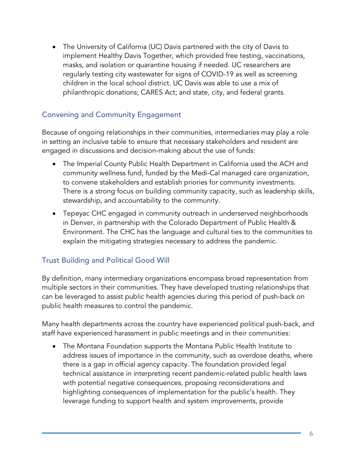• The University of California (UC) Davis partnered with the city of Davis to implement Healthy Davis Together, which provided free testing, vaccinations, masks, and isolation or quarantine housing if needed. UC researchers are regularly testing city wastewater for signs of COVID-19 as well as screening children in the local school district. UC Davis was able to use a mix of philanthropic donations; CARES Act; and state, city, and federal grants.

#### Convening and Community Engagement

Because of ongoing relationships in their communities, intermediaries may play a role in setting an inclusive table to ensure that necessary stakeholders and resident are engaged in discussions and decision-making about the use of funds:

- The Imperial County Public Health Department in California used the ACH and community wellness fund, funded by the Medi-Cal managed care organization, to convene stakeholders and establish priories for community investments. There is a strong focus on building community capacity, such as leadership skills, stewardship, and accountability to the community.
- Tepeyac CHC engaged in community outreach in underserved neighborhoods in Denver, in partnership with the Colorado Department of Public Health & Environment. The CHC has the language and cultural ties to the communities to explain the mitigating strategies necessary to address the pandemic.

#### Trust Building and Political Good Will

By definition, many intermediary organizations encompass broad representation from multiple sectors in their communities. They have developed trusting relationships that can be leveraged to assist public health agencies during this period of push-back on public health measures to control the pandemic.

Many health departments across the country have experienced political push-back, and staff have experienced harassment in public meetings and in their communities:

• The Montana Foundation supports the Montana Public Health Institute to address issues of importance in the community, such as overdose deaths, where there is a gap in official agency capacity. The foundation provided legal technical assistance in interpreting recent pandemic-related public health laws with potential negative consequences, proposing reconsiderations and highlighting consequences of implementation for the public's health. They leverage funding to support health and system improvements, provide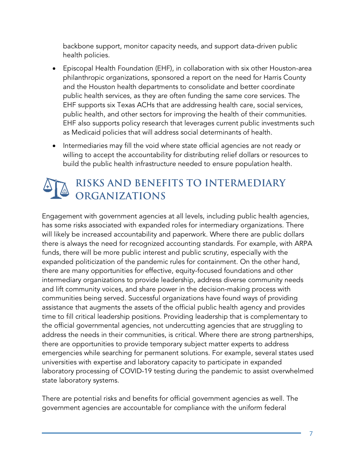backbone support, monitor capacity needs, and support data-driven public health policies.

- Episcopal Health Foundation (EHF), in collaboration with six other Houston-area philanthropic organizations, sponsored a report on the need for Harris County and the Houston health departments to consolidate and better coordinate public health services, as they are often funding the same core services. The EHF supports six Texas ACHs that are addressing health care, social services, public health, and other sectors for improving the health of their communities. EHF also supports policy research that leverages current public investments such as Medicaid policies that will address social determinants of health.
- Intermediaries may fill the void where state official agencies are not ready or willing to accept the accountability for distributing relief dollars or resources to build the public health infrastructure needed to ensure population health.

### **RISKS AND BENEFITS TO INTERMEDIARY ORGANIZATIONS**

Engagement with government agencies at all levels, including public health agencies, has some risks associated with expanded roles for intermediary organizations. There will likely be increased accountability and paperwork. Where there are public dollars there is always the need for recognized accounting standards. For example, with ARPA funds, there will be more public interest and public scrutiny, especially with the expanded politicization of the pandemic rules for containment. On the other hand, there are many opportunities for effective, equity-focused foundations and other intermediary organizations to provide leadership, address diverse community needs and lift community voices, and share power in the decision-making process with communities being served. Successful organizations have found ways of providing assistance that augments the assets of the official public health agency and provides time to fill critical leadership positions. Providing leadership that is complementary to the official governmental agencies, not undercutting agencies that are struggling to address the needs in their communities, is critical. Where there are strong partnerships, there are opportunities to provide temporary subject matter experts to address emergencies while searching for permanent solutions. For example, several states used universities with expertise and laboratory capacity to participate in expanded laboratory processing of COVID-19 testing during the pandemic to assist overwhelmed state laboratory systems.

There are potential risks and benefits for official government agencies as well. The government agencies are accountable for compliance with the uniform federal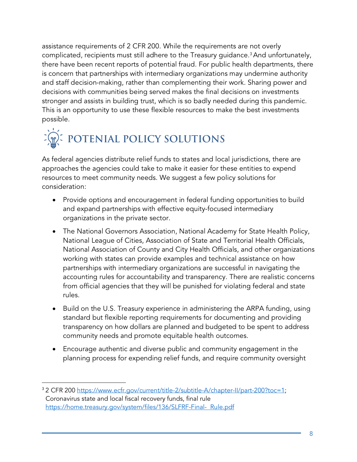assistance requirements of 2 CFR 200. While the requirements are not overly complicated, recipients must still adhere to the Treasury guidance.<sup>[3](#page-7-0)</sup> And unfortunately, there have been recent reports of potential fraud. For public health departments, there is concern that partnerships with intermediary organizations may undermine authority and staff decision-making, rather than complementing their work. Sharing power and decisions with communities being served makes the final decisions on investments stronger and assists in building trust, which is so badly needed during this pandemic. This is an opportunity to use these flexible resources to make the best investments possible.

# **POTENIAL POLICY SOLUTIONS**

As federal agencies distribute relief funds to states and local jurisdictions, there are approaches the agencies could take to make it easier for these entities to expend resources to meet community needs. We suggest a few policy solutions for consideration:

- Provide options and encouragement in federal funding opportunities to build and expand partnerships with effective equity-focused intermediary organizations in the private sector.
- The National Governors Association, National Academy for State Health Policy, National League of Cities, Association of State and Territorial Health Officials, National Association of County and City Health Officials, and other organizations working with states can provide examples and technical assistance on how partnerships with intermediary organizations are successful in navigating the accounting rules for accountability and transparency. There are realistic concerns from official agencies that they will be punished for violating federal and state rules.
- Build on the U.S. Treasury experience in administering the ARPA funding, using standard but flexible reporting requirements for documenting and providing transparency on how dollars are planned and budgeted to be spent to address community needs and promote equitable health outcomes.
- Encourage authentic and diverse public and community engagement in the planning process for expending relief funds, and require community oversight

<span id="page-7-0"></span><sup>&</sup>lt;sup>3</sup> 2 CFR 200 [https://www.ecfr.gov/current/title-2/subtitle-A/chapter-II/part-200?toc=1;](https://www.ecfr.gov/current/title-2/subtitle-A/chapter-II/part-200?toc=1) Coronavirus state and local fiscal recovery funds, final rule [https://home.treasury.gov/system/files/136/SLFRF-Final- Rule.pdf](https://home.treasury.gov/system/files/136/SLFRF-Final-%20%20Rule.pdf)